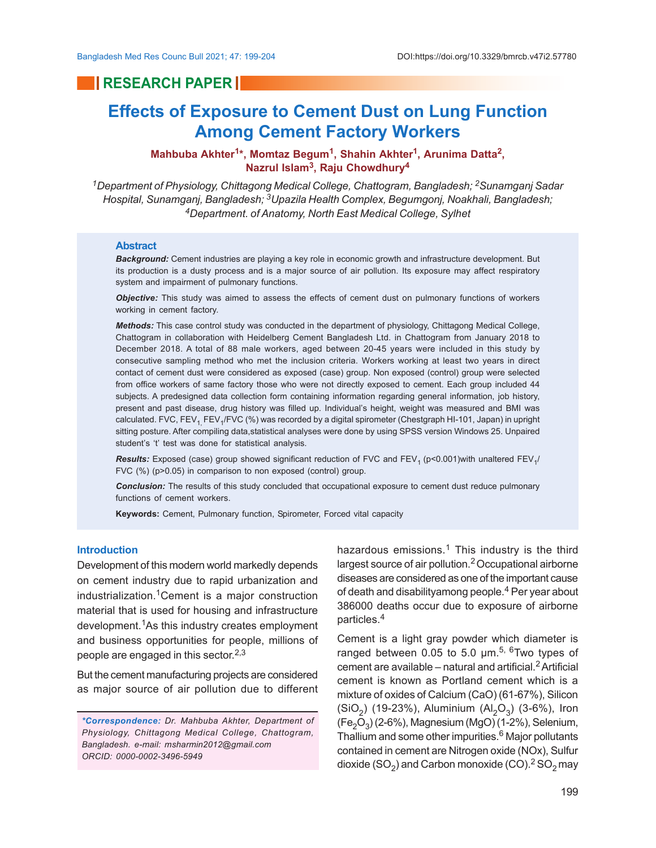## **RESEARCH PAPER**

# **Effects of Exposure to Cement Dust on Lung Function Among Cement Factory Workers**

**Mahbuba Akhter<sup>1</sup> \*, Momtaz Begum<sup>1</sup> , Shahin Akhter<sup>1</sup> , Arunima Datta<sup>2</sup> , Nazrul Islam<sup>3</sup> , Raju Chowdhury<sup>4</sup>**

*<sup>1</sup>Department of Physiology, Chittagong Medical College, Chattogram, Bangladesh; 2Sunamganj Sadar Hospital, Sunamganj, Bangladesh; 3Upazila Health Complex, Begumgonj, Noakhali, Bangladesh; <sup>4</sup>Department. of Anatomy, North East Medical College, Sylhet*

#### **Abstract**

*Background:* Cement industries are playing a key role in economic growth and infrastructure development. But its production is a dusty process and is a major source of air pollution. Its exposure may affect respiratory system and impairment of pulmonary functions.

*Objective:* This study was aimed to assess the effects of cement dust on pulmonary functions of workers working in cement factory.

*Methods:* This case control study was conducted in the department of physiology, Chittagong Medical College, Chattogram in collaboration with Heidelberg Cement Bangladesh Ltd. in Chattogram from January 2018 to December 2018. A total of 88 male workers, aged between 20-45 years were included in this study by consecutive sampling method who met the inclusion criteria. Workers working at least two years in direct contact of cement dust were considered as exposed (case) group. Non exposed (control) group were selected from office workers of same factory those who were not directly exposed to cement. Each group included 44 subjects. A predesigned data collection form containing information regarding general information, job history, present and past disease, drug history was filled up. Individual's height, weight was measured and BMI was calculated. FVC, FEV<sub>1,</sub> FEV<sub>1</sub>/FVC (%) was recorded by a digital spirometer (Chestgraph HI-101, Japan) in upright sitting posture. After compiling data,statistical analyses were done by using SPSS version Windows 25. Unpaired student's 't' test was done for statistical analysis.

 ${\sf Results:}$  Exposed (case) group showed significant reduction of FVC and FEV<sub>1</sub> (p<0.001)with unaltered FEV<sub>1</sub>/ FVC (%) (p>0.05) in comparison to non exposed (control) group.

*Conclusion:* The results of this study concluded that occupational exposure to cement dust reduce pulmonary functions of cement workers.

**Keywords:** Cement, Pulmonary function, Spirometer, Forced vital capacity

#### **Introduction**

Development of this modern world markedly depends on cement industry due to rapid urbanization and industrialization.1Cement is a major construction material that is used for housing and infrastructure development.1As this industry creates employment and business opportunities for people, millions of people are engaged in this sector. $^{\mathsf{2,3}}$ 

But the cement manufacturing projects are considered as major source of air pollution due to different

hazardous emissions.<sup>1</sup> This industry is the third largest source of air pollution.2 Occupational airborne diseases are considered as one of the important cause of death and disabilityamong people.<sup>4</sup> Per year about 386000 deaths occur due to exposure of airborne particles.<sup>4</sup>

Cement is a light gray powder which diameter is ranged between 0.05 to 5.0  $\mu$ m.<sup>5, 6</sup>Two types of cement are available – natural and artificial. $2$  Artificial cement is known as Portland cement which is a mixture of oxides of Calcium (CaO) (61-67%), Silicon (SiO<sub>2</sub>) (19-23%), Aluminium (Al<sub>2</sub>O<sub>3</sub>) (3-6%), Iron (Fe $_{2}$ O $_{3}$ ) (2-6%), Magnesium (MgO) (1-2%), Selenium, Thallium and some other impurities.<sup>6</sup> Major pollutants contained in cement are Nitrogen oxide (NOx), Sulfur dioxide (SO $_2$ ) and Carbon monoxide (CO). $^2$  SO $_2$ may

*<sup>\*</sup>Correspondence: Dr. Mahbuba Akhter, Department of Physiology, Chittagong Medical College, Chattogram, Bangladesh. e-mail: msharmin2012@gmail.com ORCID: 0000-0002-3496-5949*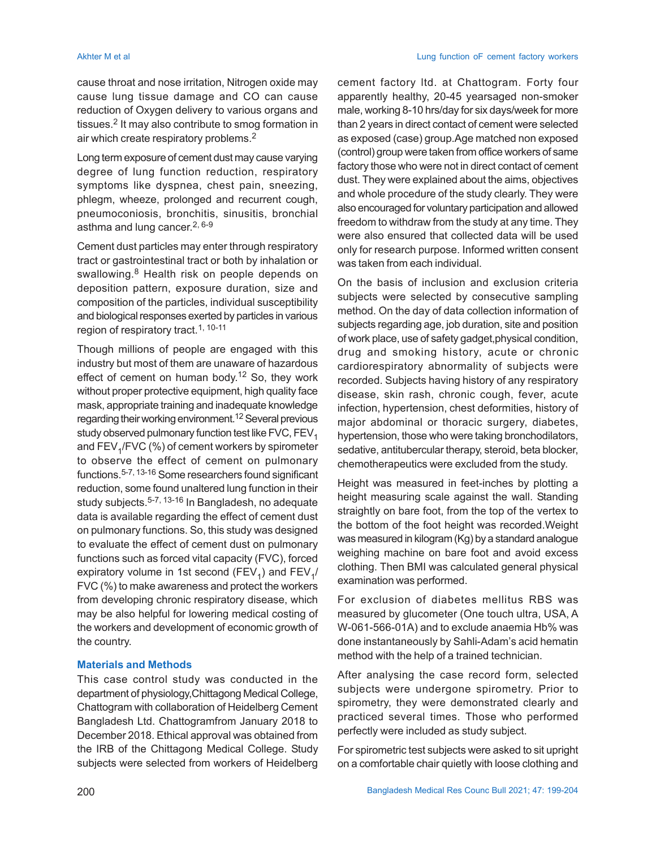cause throat and nose irritation, Nitrogen oxide may cause lung tissue damage and CO can cause reduction of Oxygen delivery to various organs and tissues.<sup>2</sup> It may also contribute to smog formation in air which create respiratory problems.<sup>2</sup>

Long term exposure of cement dust may cause varying degree of lung function reduction, respiratory symptoms like dyspnea, chest pain, sneezing, phlegm, wheeze, prolonged and recurrent cough, pneumoconiosis, bronchitis, sinusitis, bronchial asthma and lung cancer. 2, 6-9

Cement dust particles may enter through respiratory tract or gastrointestinal tract or both by inhalation or swallowing.<sup>8</sup> Health risk on people depends on deposition pattern, exposure duration, size and composition of the particles, individual susceptibility and biological responses exerted by particles in various region of respiratory tract.<sup>1, 10-11</sup>

Though millions of people are engaged with this industry but most of them are unaware of hazardous effect of cement on human body.<sup>12</sup> So, they work without proper protective equipment, high quality face mask, appropriate training and inadequate knowledge regarding their working environment.<sup>12</sup> Several previous study observed pulmonary function test like FVC,  $FEV<sub>1</sub>$ and FEV<sub>1</sub>/FVC (%) of cement workers by spirometer to observe the effect of cement on pulmonary functions.<sup>5-7, 13-16</sup> Some researchers found significant reduction, some found unaltered lung function in their study subjects.5-7, 13-16 In Bangladesh, no adequate data is available regarding the effect of cement dust on pulmonary functions. So, this study was designed to evaluate the effect of cement dust on pulmonary functions such as forced vital capacity (FVC), forced expiratory volume in 1st second (FEV<sub>1</sub>) and FEV<sub>1</sub>/ FVC (%) to make awareness and protect the workers from developing chronic respiratory disease, which may be also helpful for lowering medical costing of the workers and development of economic growth of the country.

### **Materials and Methods**

This case control study was conducted in the department of physiology,Chittagong Medical College, Chattogram with collaboration of Heidelberg Cement Bangladesh Ltd. Chattogramfrom January 2018 to December 2018. Ethical approval was obtained from the IRB of the Chittagong Medical College. Study subjects were selected from workers of Heidelberg

cement factory ltd. at Chattogram. Forty four apparently healthy, 20-45 yearsaged non-smoker male, working 8-10 hrs/day for six days/week for more than 2 years in direct contact of cement were selected as exposed (case) group.Age matched non exposed (control) group were taken from office workers of same factory those who were not in direct contact of cement dust. They were explained about the aims, objectives and whole procedure of the study clearly. They were also encouraged for voluntary participation and allowed freedom to withdraw from the study at any time. They were also ensured that collected data will be used only for research purpose. Informed written consent was taken from each individual.

On the basis of inclusion and exclusion criteria subjects were selected by consecutive sampling method. On the day of data collection information of subjects regarding age, job duration, site and position of work place, use of safety gadget,physical condition, drug and smoking history, acute or chronic cardiorespiratory abnormality of subjects were recorded. Subjects having history of any respiratory disease, skin rash, chronic cough, fever, acute infection, hypertension, chest deformities, history of major abdominal or thoracic surgery, diabetes, hypertension, those who were taking bronchodilators, sedative, antitubercular therapy, steroid, beta blocker, chemotherapeutics were excluded from the study.

Height was measured in feet-inches by plotting a height measuring scale against the wall. Standing straightly on bare foot, from the top of the vertex to the bottom of the foot height was recorded.Weight was measured in kilogram (Kg) by a standard analogue weighing machine on bare foot and avoid excess clothing. Then BMI was calculated general physical examination was performed.

For exclusion of diabetes mellitus RBS was measured by glucometer (One touch ultra, USA, A W-061-566-01A) and to exclude anaemia Hb% was done instantaneously by Sahli-Adam's acid hematin method with the help of a trained technician.

After analysing the case record form, selected subjects were undergone spirometry. Prior to spirometry, they were demonstrated clearly and practiced several times. Those who performed perfectly were included as study subject.

For spirometric test subjects were asked to sit upright on a comfortable chair quietly with loose clothing and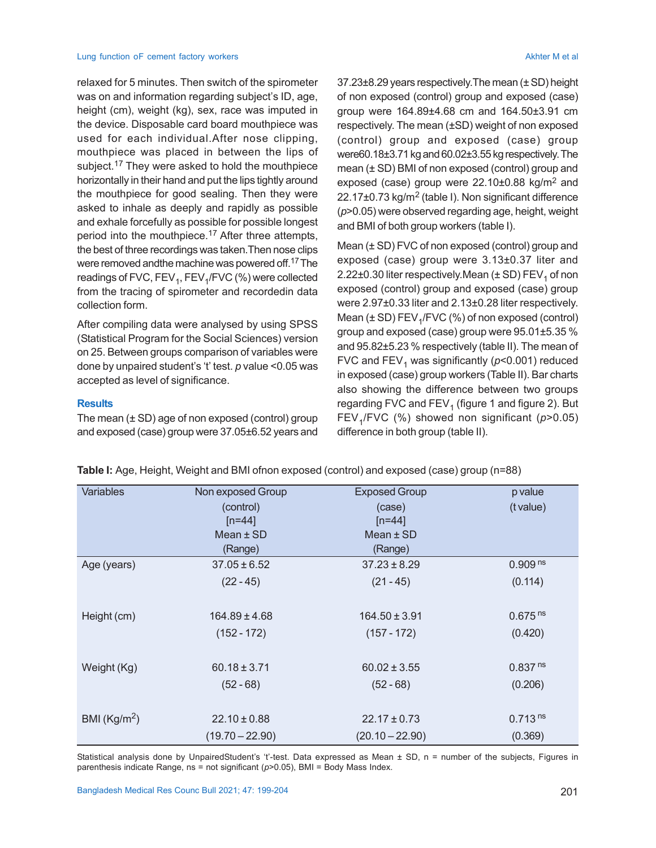#### Lung function oF cement factory workers Akhter M et al. Achter M et al. Achter M et al. Achter M et al.

relaxed for 5 minutes. Then switch of the spirometer was on and information regarding subject's ID, age, height (cm), weight (kg), sex, race was imputed in the device. Disposable card board mouthpiece was used for each individual.After nose clipping, mouthpiece was placed in between the lips of subject.<sup>17</sup> They were asked to hold the mouthpiece horizontally in their hand and put the lips tightly around the mouthpiece for good sealing. Then they were asked to inhale as deeply and rapidly as possible and exhale forcefully as possible for possible longest period into the mouthpiece.<sup>17</sup> After three attempts, the best of three recordings was taken.Then nose clips were removed andthe machine was powered off.17 The readings of FVC, FEV<sub>1</sub>, FEV<sub>1</sub>/FVC (%) were collected from the tracing of spirometer and recordedin data collection form.

After compiling data were analysed by using SPSS (Statistical Program for the Social Sciences) version on 25. Between groups comparison of variables were done by unpaired student's 't' test. *p* value <0.05 was accepted as level of significance.

### **Results**

The mean  $(\pm SD)$  age of non exposed (control) group and exposed (case) group were 37.05±6.52 years and 37.23±8.29 years respectively.The mean (± SD) height of non exposed (control) group and exposed (case) group were 164.89±4.68 cm and 164.50±3.91 cm respectively. The mean (±SD) weight of non exposed (control) group and exposed (case) group were60.18±3.71 kg and 60.02±3.55 kg respectively. The mean (± SD) BMI of non exposed (control) group and exposed (case) group were 22.10±0.88 kg/m<sup>2</sup> and 22.17±0.73 kg/m<sup>2</sup> (table I). Non significant difference (*p*>0.05) were observed regarding age, height, weight and BMI of both group workers (table I).

Mean (± SD) FVC of non exposed (control) group and exposed (case) group were 3.13±0.37 liter and 2.22±0.30 liter respectively.Mean (± SD) FEV<sub>1</sub> of non exposed (control) group and exposed (case) group were 2.97±0.33 liter and 2.13±0.28 liter respectively. Mean ( $\pm$  SD) FEV<sub>1</sub>/FVC (%) of non exposed (control) group and exposed (case) group were 95.01±5.35 % and 95.82±5.23 % respectively (table II). The mean of FVC and FEV<sub>1</sub> was significantly (*p*<0.001) reduced in exposed (case) group workers (Table II). Bar charts also showing the difference between two groups regarding FVC and FEV $_{\rm 1}$  (figure 1 and figure 2). But FEV<sup>1</sup> /FVC (%) showed non significant (*p*>0.05) difference in both group (table II).

| Table I: Age, Height, Weight and BMI ofnon exposed (control) and exposed (case) group (n=88) |  |  |  |
|----------------------------------------------------------------------------------------------|--|--|--|
|                                                                                              |  |  |  |

| <b>Variables</b> | Non exposed Group | <b>Exposed Group</b> | p value               |
|------------------|-------------------|----------------------|-----------------------|
|                  | (control)         | (case)               | (t value)             |
|                  | $[n=44]$          | $[n=44]$             |                       |
|                  | Mean $±$ SD       | Mean $±$ SD          |                       |
|                  | (Range)           | (Range)              |                       |
| Age (years)      | $37.05 \pm 6.52$  | $37.23 \pm 8.29$     | 0.909 <sup>ns</sup>   |
|                  | $(22 - 45)$       | $(21 - 45)$          | (0.114)               |
|                  |                   |                      |                       |
| Height (cm)      | $164.89 \pm 4.68$ | $164.50 \pm 3.91$    | $0.675$ <sup>ns</sup> |
|                  | $(152 - 172)$     | $(157 - 172)$        | (0.420)               |
|                  |                   |                      |                       |
| Weight (Kg)      | $60.18 \pm 3.71$  | $60.02 \pm 3.55$     | 0.837 <sup>ns</sup>   |
|                  | $(52 - 68)$       | $(52 - 68)$          | (0.206)               |
|                  |                   |                      |                       |
| BMI $(Kg/m2)$    | $22.10 \pm 0.88$  | $22.17 \pm 0.73$     | 0.713 <sup>ns</sup>   |
|                  | $(19.70 - 22.90)$ | $(20.10 - 22.90)$    | (0.369)               |

Statistical analysis done by UnpairedStudent's 't'-test. Data expressed as Mean  $\pm$  SD, n = number of the subjects, Figures in parenthesis indicate Range, ns = not significant (*p*>0.05), BMI = Body Mass Index.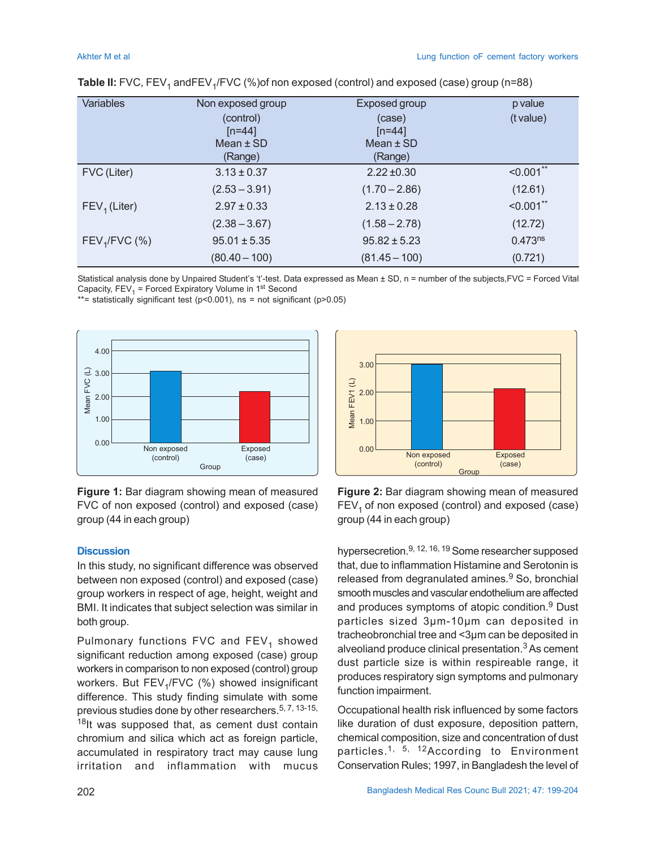| <b>Variables</b> | Non exposed group | <b>Exposed group</b> | p value      |
|------------------|-------------------|----------------------|--------------|
|                  | (control)         | (case)               | (t value)    |
|                  | $[n=44]$          | $[n=44]$             |              |
|                  | Mean $\pm$ SD     | Mean $±$ SD          |              |
|                  | (Range)           | (Range)              |              |
| FVC (Liter)      | $3.13 \pm 0.37$   | $2.22 \pm 0.30$      | $< 0.001$ ** |
|                  | $(2.53 - 3.91)$   | $(1.70 - 2.86)$      | (12.61)      |
| $FEV1$ (Liter)   | $2.97 \pm 0.33$   | $2.13 \pm 0.28$      | $< 0.001$ ** |
|                  | $(2.38 - 3.67)$   | $(1.58 - 2.78)$      | (12.72)      |
| $FEV1/FVC$ (%)   | $95.01 \pm 5.35$  | $95.82 \pm 5.23$     | $0.473^{ns}$ |
|                  | $(80.40 - 100)$   | $(81.45 - 100)$      | (0.721)      |

Statistical analysis done by Unpaired Student's 't'-test. Data expressed as Mean ± SD, n = number of the subjects, FVC = Forced Vital Capacity,  $\mathsf{FEV}_1$  = Forced Expiratory Volume in 1st Second

\*\*= statistically significant test ( $p$ <0.001), ns = not significant ( $p$ >0.05)



**Figure 1:** Bar diagram showing mean of measured FVC of non exposed (control) and exposed (case) group (44 in each group)

#### **Discussion**

In this study, no significant difference was observed between non exposed (control) and exposed (case) group workers in respect of age, height, weight and BMI. It indicates that subject selection was similar in both group.

Pulmonary functions FVC and FEV<sub>1</sub> showed significant reduction among exposed (case) group workers in comparison to non exposed (control) group workers. But FEV<sub>1</sub>/FVC (%) showed insignificant difference. This study finding simulate with some previous studies done by other researchers.<sup>5, 7, 13-15,</sup> 18It was supposed that, as cement dust contain chromium and silica which act as foreign particle, accumulated in respiratory tract may cause lung irritation and inflammation with mucus



**Figure 2:** Bar diagram showing mean of measured  $FEV<sub>1</sub>$  of non exposed (control) and exposed (case) group (44 in each group)

hypersecretion.9, 12, 16, 19 Some researcher supposed that, due to inflammation Histamine and Serotonin is released from degranulated amines.<sup>9</sup> So, bronchial smooth muscles and vascular endothelium are affected and produces symptoms of atopic condition.<sup>9</sup> Dust particles sized 3µm-10µm can deposited in tracheobronchial tree and <3µm can be deposited in alveoliand produce clinical presentation. $3$  As cement dust particle size is within respireable range, it produces respiratory sign symptoms and pulmonary function impairment.

Occupational health risk influenced by some factors like duration of dust exposure, deposition pattern, chemical composition, size and concentration of dust particles.<sup>1, 5, 12</sup>According to Environment Conservation Rules; 1997, in Bangladesh the level of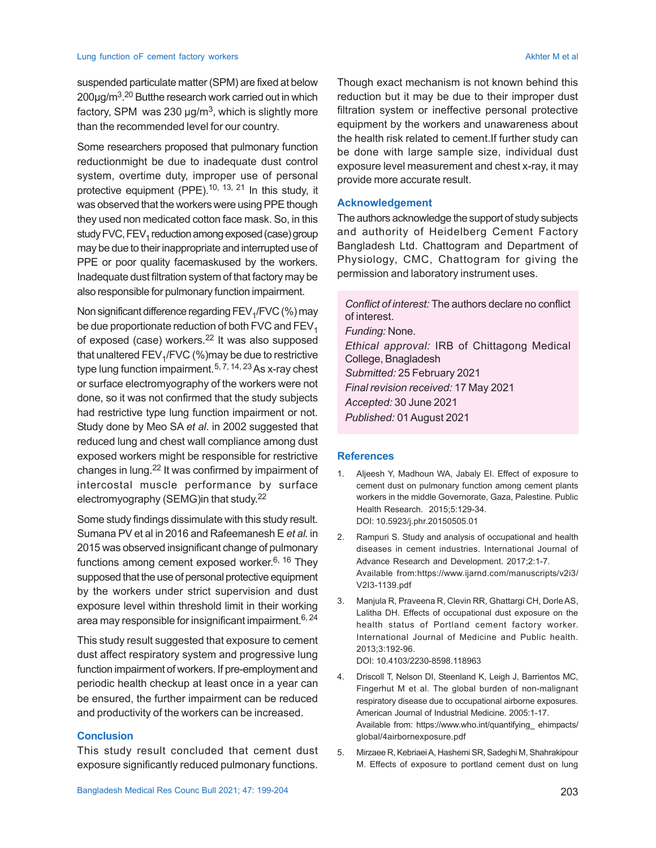suspended particulate matter (SPM) are fixed at below 200µg/m<sup>3</sup>.<sup>20</sup> Butthe research work carried out in which factory, SPM was 230  $\mu$ g/m $^3$ , which is slightly more than the recommended level for our country.

Some researchers proposed that pulmonary function reductionmight be due to inadequate dust control system, overtime duty, improper use of personal protective equipment (PPE).<sup>10, 13, 21</sup> In this study, it was observed that the workers were using PPE though they used non medicated cotton face mask. So, in this study FVC,  $FEV<sub>1</sub>$  reduction among exposed (case) group may be due to their inappropriate and interrupted use of PPE or poor quality facemaskused by the workers. Inadequate dust filtration system of that factory may be also responsible for pulmonary function impairment.

Non significant difference regarding  $\mathsf{FEV}_{\mathfrak{q}}\mathsf{/FVC}$  (%) may be due proportionate reduction of both FVC and  $FEV<sub>1</sub>$ of exposed (case) workers.<sup>22</sup> It was also supposed that unaltered FEV<sub>1</sub>/FVC (%)may be due to restrictive type lung function impairment.<sup>5, 7, 14, 23</sup> As x-ray chest or surface electromyography of the workers were not done, so it was not confirmed that the study subjects had restrictive type lung function impairment or not. Study done by Meo SA *et al*. in 2002 suggested that reduced lung and chest wall compliance among dust exposed workers might be responsible for restrictive changes in lung.22 It was confirmed by impairment of intercostal muscle performance by surface electromyography (SEMG)in that study. 22

Some study findings dissimulate with this study result. Sumana PV et al in 2016 and Rafeemanesh E *et al.* in 2015 was observed insignificant change of pulmonary functions among cement exposed worker.<sup>6, 16</sup> They supposed that the use of personal protective equipment by the workers under strict supervision and dust exposure level within threshold limit in their working area may responsible for insignificant impairment.  $6, 24$ 

This study result suggested that exposure to cement dust affect respiratory system and progressive lung function impairment of workers. If pre-employment and periodic health checkup at least once in a year can be ensured, the further impairment can be reduced and productivity of the workers can be increased.

### **Conclusion**

This study result concluded that cement dust exposure significantly reduced pulmonary functions.

Though exact mechanism is not known behind this reduction but it may be due to their improper dust filtration system or ineffective personal protective equipment by the workers and unawareness about the health risk related to cement.If further study can be done with large sample size, individual dust exposure level measurement and chest x-ray, it may provide more accurate result.

#### **Acknowledgement**

The authors acknowledge the support of study subjects and authority of Heidelberg Cement Factory Bangladesh Ltd. Chattogram and Department of Physiology, CMC, Chattogram for giving the permission and laboratory instrument uses.

*Conflict of interest:* The authors declare no conflict of interest. *Funding:* None. *Ethical approval:* IRB of Chittagong Medical College, Bnagladesh *Submitted:* 25 February 2021 *Final revision received:* 17 May 2021 *Accepted:* 30 June 2021 *Published:* 01August 2021

#### **References**

- 1. Aljeesh Y, Madhoun WA, Jabaly EI. Effect of exposure to cement dust on pulmonary function among cement plants workers in the middle Governorate, Gaza, Palestine. Public Health Research. 2015;5:129-34. DOI: 10.5923/j.phr.20150505.01
- 2. Rampuri S. Study and analysis of occupational and health diseases in cement industries. International Journal of Advance Research and Development. 2017;2:1-7. Available from:https://www.ijarnd.com/manuscripts/v2i3/ V2I3-1139.pdf
- 3. Manjula R, Praveena R, Clevin RR, Ghattargi CH, Dorle AS, Lalitha DH. Effects of occupational dust exposure on the health status of Portland cement factory worker. International Journal of Medicine and Public health. 2013;3:192-96.

DOI: 10.4103/2230-8598.118963

- 4. Driscoll T, Nelson DI, Steenland K, Leigh J, Barrientos MC, Fingerhut M et al. The global burden of non-malignant respiratory disease due to occupational airborne exposures. American Journal of Industrial Medicine. 2005:1-17. Available from: https://www.who.int/quantifying\_ ehimpacts/ global/4airbornexposure.pdf
- 5. Mirzaee R, Kebriaei A, Hashemi SR, Sadeghi M, Shahrakipour M. Effects of exposure to portland cement dust on lung